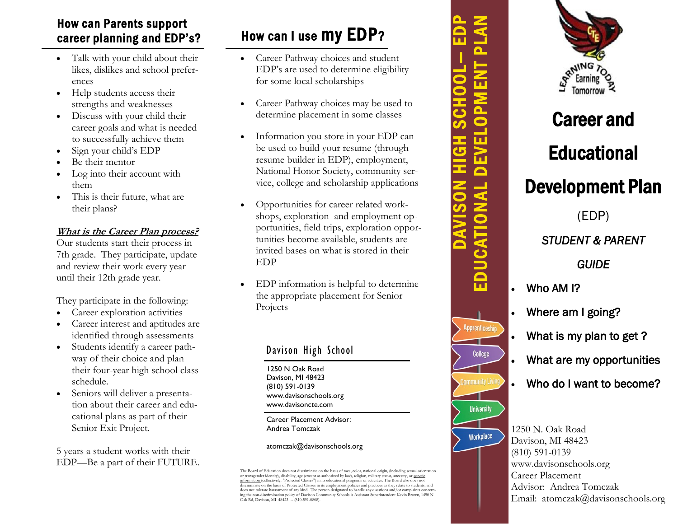# How can Parents support career planning and EDP's?

- Talk with your child about their likes, dislikes and school preferences
- Help students access their strengths and weaknesses
- Discuss with your child their career goals and what is needed to successfully achieve them
- Sign your child's EDP
- Be their mentor
- Log into their account with them
- This is their future, what are their plans?

## **What is the Career Plan process?**

Our students start their process in 7th grade. They participate, update and review their work every year until their 12th grade year.

They participate in the following:

- Career exploration activities
- Career interest and aptitudes are identified through assessments
- Students identify a career pathway of their choice and plan their four-year high school class schedule.
- Seniors will deliver a presentation about their career and educational plans as part of their Senior Exit Project.

5 years a student works with their EDP—Be a part of their FUTURE.

# How can I use my EDP?

- Career Pathway choices and student EDP's are used to determine eligibility for some local scholarships
- Career Pathway choices may be used to determine placement in some classes
- Information you store in your EDP can be used to build your resume (through resume builder in EDP), employment, National Honor Society, community service, college and scholarship applications
- Opportunities for career related workshops, exploration and employment opportunities, field trips, exploration opportunities become available, students are invited bases on what is stored in their EDP
- EDP information is helpful to determine the appropriate placement for Senior Projects

# Davison High School

1250 N Oak Road Davison, MI 48423 (810) 591-0139 www.davisonschools.org www.davisoncte.com

Career Placement Advisor: Andrea Tomczak

#### atomczak@davisonschools.org

Career and Educational Development Plan (EDP) *STUDENT & PARENT GUIDE*  Who AM I?

DAVISON HIGH SCHOOL — EDP EDUCATIONAL DEVELOPMENT PLAN

 $\overline{\mathbf{u}}$ 

 $\overline{\mathbf{a}}$  $\overline{\mathbf{o}}$  $\overline{\mathbf{u}}$  $\bf \Xi$  $\overline{\bullet}$ 

EDUCATION

Apprenticeshi

College

**University** 

Workplace

- Where am I going?
- 
- What is my plan to get?
- What are my opportunities
- Who do I want to become?

1250 N. Oak Road Davison, MI 48423 (810) 591-0139 www.davisonschools.org Career Placement Advisor: Andrea Tomczak Email: atomczak@davisonschools.org

The Board of Education does not discriminate on the basis of race, color, national origin, (including sexual orientation<br>or transgender identity), disability, age (except as authorized by law), religion, military status, a does not tolerate harassment of any kind. The person designated to handle any questions and/or complaints concern ing the non-discrimination policy of Davison Community Schools is Assistant Superintendent Kevin Brown, 1490 N Oak Rd, Davison, MI 48423 -- (810-591-0808).